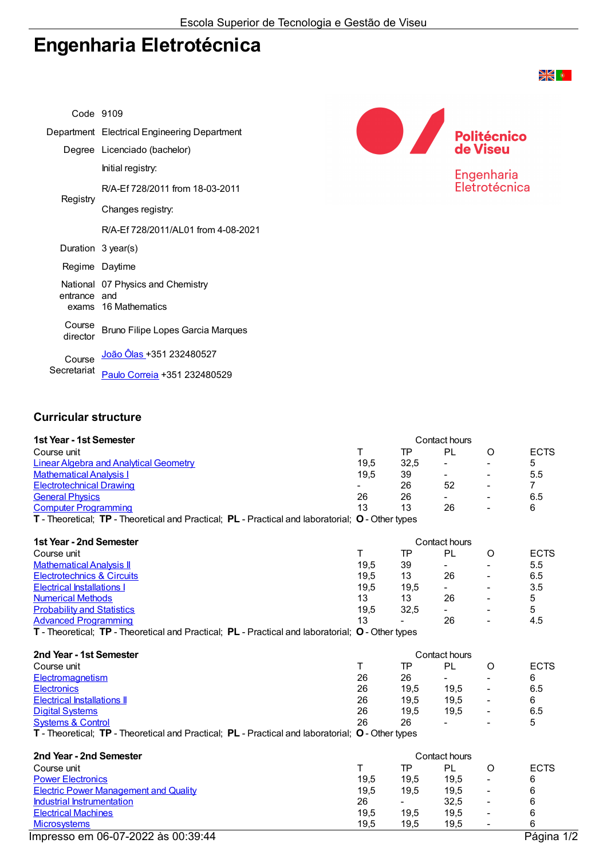## Engenharia Eletrotécnica

| Code 9109          |                                              |                    |
|--------------------|----------------------------------------------|--------------------|
|                    | Department Electrical Engineering Department | <b>Politécnico</b> |
|                    | Degree Licenciado (bachelor)                 | de Viseu           |
| Registry           | Initial registry:                            | Engenharia         |
|                    | R/A-Ef 728/2011 from 18-03-2011              | Eletrotécnica      |
|                    | Changes registry:                            |                    |
|                    | R/A-Ef 728/2011/AL01 from 4-08-2021          |                    |
|                    | Duration 3 year(s)                           |                    |
|                    | Regime Daytime                               |                    |
| entrance and       | National 07 Physics and Chemistry            |                    |
| exams              | 16 Mathematics                               |                    |
| Course<br>director | Bruno Filipe Lopes Garcia Marques            |                    |
| Course             | João Ôlas +351 232480527                     |                    |
| Secretariat        | Paulo Correia +351 232480529                 |                    |

## Curricular structure

| 1st Year - 1st Semester                                                                           | Contact hours |           |                          |                          |                |
|---------------------------------------------------------------------------------------------------|---------------|-----------|--------------------------|--------------------------|----------------|
| Course unit                                                                                       | T             | TP        | PL                       | O                        | <b>ECTS</b>    |
| <b>Linear Algebra and Analytical Geometry</b>                                                     | 19,5          | 32,5      |                          |                          | 5              |
| <b>Mathematical Analysis I</b>                                                                    | 19,5          | 39        |                          |                          | 5.5            |
| <b>Electrotechnical Drawing</b>                                                                   |               | 26        | 52                       |                          | $\overline{7}$ |
| <b>General Physics</b>                                                                            | 26            | 26        | $\sim$                   |                          | 6.5            |
| <b>Computer Programming</b>                                                                       | 13            | 13        | 26                       |                          | 6              |
| T - Theoretical; TP - Theoretical and Practical; PL - Practical and laboratorial; O - Other types |               |           |                          |                          |                |
|                                                                                                   |               |           |                          |                          |                |
| 1st Year - 2nd Semester                                                                           |               |           | Contact hours            |                          |                |
| Course unit                                                                                       | T             | TP        | <b>PL</b>                | O                        | <b>ECTS</b>    |
| <b>Mathematical Analysis II</b>                                                                   | 19,5          | 39        |                          |                          | 5.5            |
| <b>Electrotechnics &amp; Circuits</b>                                                             | 19,5          | 13        | 26                       |                          | 6.5            |
| <b>Electrical Installations I</b>                                                                 | 19,5          | 19,5      | $\sim$                   |                          | 3.5            |
| <b>Numerical Methods</b>                                                                          | 13            | 13        | 26                       |                          | 5              |
| <b>Probability and Statistics</b>                                                                 | 19,5          | 32,5      | $\sim$                   |                          | 5              |
| <b>Advanced Programming</b>                                                                       | 13            |           | 26                       |                          | 4.5            |
| T - Theoretical; TP - Theoretical and Practical; PL - Practical and laboratorial; O - Other types |               |           |                          |                          |                |
| 2nd Year - 1st Semester                                                                           |               |           | Contact hours            |                          |                |
| Course unit                                                                                       | т             | <b>TP</b> | PL                       | O                        | <b>ECTS</b>    |
| Electromagnetism                                                                                  | 26            | 26        | $\overline{\phantom{a}}$ |                          | 6              |
| <b>Electronics</b>                                                                                | 26            | 19,5      | 19,5                     | $\overline{\phantom{0}}$ | 6.5            |
| <b>Electrical Installations II</b>                                                                | 26            | 19,5      | 19,5                     |                          | 6              |
| <b>Digital Systems</b>                                                                            | 26            | 19,5      | 19,5                     |                          | 6.5            |
| <b>Systems &amp; Control</b>                                                                      | 26            | 26        |                          |                          | 5              |
| T - Theoretical; TP - Theoretical and Practical; PL - Practical and laboratorial; O - Other types |               |           |                          |                          |                |
|                                                                                                   |               |           |                          |                          |                |
| 2nd Year - 2nd Semester                                                                           |               |           | Contact hours            |                          |                |
| Course unit                                                                                       | т             | <b>TP</b> | PL                       | O                        | <b>ECTS</b>    |
| <b>Power Electronics</b>                                                                          | 19,5          | 19,5      | 19,5                     | $\overline{\phantom{a}}$ | 6              |
| <b>Electric Power Management and Quality</b>                                                      |               | 19,5      | 19,5                     | $\overline{\phantom{a}}$ | 6              |
| <b>Industrial Instrumentation</b>                                                                 |               |           | 32,5                     | $\blacksquare$           | 6              |
| <b>Electrical Machines</b>                                                                        | 19,5          | 19,5      | 19,5                     | $\overline{\phantom{a}}$ | 6              |
| <b>Microsystems</b>                                                                               | 19,5          | 19,5      | 19,5                     | $\blacksquare$           | 6              |

Impresso em 06-07-2022 às 00:39:44 Página 1/2

**DIAK**